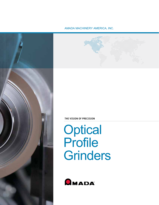



# **Optical** Profile Grinders

THE VISION OF PRECISION



## AMADA MACHINERY AMERICA, INC.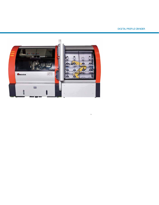### DIGITAL PROFILE GRINDER



 ›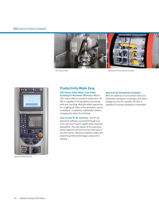#### **DV1** DIGITAL PROFILE GRINDER DV1 DIGITAL PROFILE GRINDER





Operation Panel Screen

## Productivity Made Easy

CNC Rotary Table Allows Four-Sided Grinding for Maximum Efficiency—With a CNC rotary table as standard equipment, the DVI is capable of full periphery processing with one chucking. Multiple wheel operations for roughing all sides of the workpiece can be completed—completely unattended—before changing the wheel for finishing.

Easy-to-Use PC NC Interface—The PC NC operation software, accessed through a 12 inch color touch panel, significantly improves operability. The new layout of the operation panel organizes the function for both ease of use and clarity. Optimum usability makes this powerful grinder technology a pleasure to operate.

#### Optional Full Automation Available—

With the addition of articulated robots for automated workpiece exchanges and wheel changes on the ATC spindle, the DV1 is capable of running completely unattended.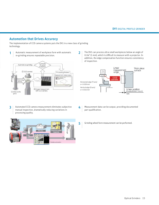## Automation that Drives Accuracy

The implementation of CCD camera systems puts the DV1 in a new class of grinding technology.

re-grinding ensures repeatable precision.



Automated CCD camera measurement eliminates subjective manual inspection, dramatically reducing variations in processing quality. 3





- Measurement data can be output, providing documented part qualification. 4
- 5 Grinding wheel form measurement can be performed.

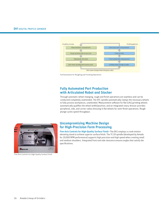

Full Automation for Roughing and Finishing Operations

## Fully Automated Part Production with Articulated Robot and Stocker

Through automatic wheel changing, rough and finish operations are seamless and can be conducted completely unattended. The ATC spindle automatically clamps the necessary wheels to fully process workpieces, unattended. Measurement software for flat (1A1) grinding wheels automatically qualifies the wheel width/position, and an integrated rotary dresser provides peripheral, side, and corner radius dressing in flat wheels for semi-finish operations. Rough plunge cycles speed throughput.



Five-Axis Controls For High-Quality Surface Finish

## Uncompromising Machine Design for High-Precision Form Processing

Five-Axis Controls for High-Quality Surface Finish—The DV1 employs a crank-motion elevating stand to achieve superior surface finish. The TC-20 spindle (developed by Amada for 20,000 RPM performance) supports high precision and high speed when creating small and medium shoulders. Integrated front and side clearance ensures angles that satisfy die specifications.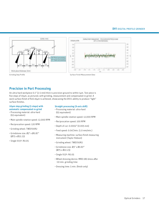

## Precision in Part Processing

An ultra-hard workpiece 0.1" (2.5 mm) thick is precision-ground to within 1µm. Test piece is five steps of 10µm, as pictured, with grinding, measurement and compensated re-grind. A work surface finish of RzO.16µm is achieved, showcasing the DV1's ability to produce "light" surface finishes.

#### 10µm step grinding (5 steps) with automatic compensated re-grind

- Processing material: ultra-hard (G5 equivalent)
- Main spindle rotation speed: 12,000 RPM
- Reciprocation speed: 120 RPM
- Grinding wheel: TWD700R2
- Grindstone size: Ø3" x Ø0.87" (Ø75 x Ø22.23)
- Single V15º: R0.05

#### Straight processing (X-axis shift)

- Processing material: ultra-hard (G5 equivalent)
- Main spindle rotation speed: 12,000 RPM
- Reciprocation speed: 100 RPM
- Depth of cut: 0.0002" (0.005 mm)
- Feed speed: 0.04"/min. (1.0 mm/min.)
- Measuring machine: surface finish measuring instrument (Taylor Hobson)
- Grinding wheel: TWD700R2
- Grindstone size: Ø3" x Ø0.87" (Ø75 x Ø22.23)
- Single V15º: R0.05
- Wheel dressing device: MRD-180 dress after ~10 min. grinding time
- Dressing time: 5 min. (finish only)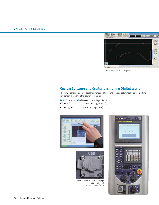

Image-Based Teach and Playback

## Custom Software and Craftsmanship in a Digital World

The new operation panel is designed for ease of use, and the control system allows intuitive navigation through all the powerful functions.

FANUC Series 32i-B-Five-axis control specification:

- Table X, Y
- Headstock up/down (W)
- Table up/down (Z) • Workpiece pivot (B)





12-inch Color LCD Touch Panel (top) USB Port (above) Operation Panel (right)

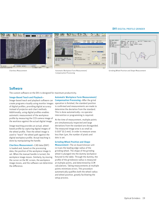#### **DV1** DIGITAL PROFILE GRINDER





Chartless Measurement **Automatic Workpiece Form Measurement**/ Compensation Processing



Grinding Wheel Position and Shape Measurement

## **Software**

The custom software on the DV1 is designed for maximum productivity.

#### Image-Based Teach and Playback—

Image-based teach and playback software can create programs visually using monitor images of digital profiles, providing digital accuracy instead of projector-and-chart methods. Additionally, using digital profiles enables automatic measurement of the workpiece profile by measuring the CCD camera image of the workiece against the actual digital image.

Image teaching provides an actual, wheelbased profile by capturing digital images of the wheel profile. Then the wheel image is used to "teach" the wheel path against the digital workpiece profile. Actual teaching is done by manipulating the handle.

Chartless Measurement—CAD data (DXF) is loaded and, based on the processing data, the position of the workpiece image is set. When the manual handle is turned, the workpiece image moves. Similarly, by moving the cursor on the NC screen, the workpiece image moves, and the software can determine the difference.

Automatic Workpiece Form Measurement/ Compensation Processing-After the grind operation is finished, the standard position is confirmed and measurements are made to determine the deviation from the standard. This is done automatically—no operator intervention or programming is required.

At the time of measurement, multiple points are simultaneously inspected and large deviations from the standard are disregarded. The measured image area is as small as 0.019" (0.5 mm). In order to measure areas less than 1µm, the number of pixels and dots is set.

#### Grinding Wheel Position and Shape

Measurement—The on-board dresser unit re-trues the leading edge radius of the grinding wheel. The shape of the grinding wheel is plunged into the dummy workpiece fixtured to the table. Through the dummy, the profile of the grindstone radius is measured at multiple points, and determined by CCM calculations. Taking measurements at multiple points minimizes errors. This procedure automatically qualifies both the wheel radius and wheel position, greatly facilitating the setup process.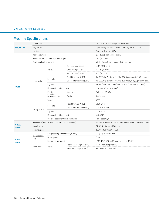| <b>PROJECTOR</b>               | Screen size                                         |                                            |                              | 12" LCD (CCD view range 0.5 x 0.4 mm)                         |
|--------------------------------|-----------------------------------------------------|--------------------------------------------|------------------------------|---------------------------------------------------------------|
|                                | Magnification                                       |                                            |                              | Optical magnification x10/monitor magnification x350          |
|                                | Lighting                                            |                                            |                              | Tapering lighting 150 W                                       |
|                                | Working surface                                     |                                            |                              | 4.5" (Ø115 mm) (round table)                                  |
|                                | Distance from the table top to focus point          |                                            |                              | 7.8" (200 mm)                                                 |
|                                | Maximum loading weight                              |                                            |                              | 44 lb. (20 kg) (workpiece + fixture + chuck)                  |
|                                | Linear axis                                         | Travel                                     | Traverse feed (X axis)       | $11.8"$ (300 mm)                                              |
|                                |                                                     |                                            | Cross feed (Y axis)          | 9.8" (250 mm)                                                 |
|                                |                                                     |                                            | Vertical feed (Z axis)       | $3.1"$ (80 mm)                                                |
|                                |                                                     | Feedrate                                   | Rapid traverse (GOO)         | XY: 78"/min, Z: 19.6"/min (XY: 2000 mm/min, Z: 500 mm/min)    |
|                                |                                                     |                                            | Linear interpolation (GO1)   | XY: 0.0004~39"/min (XY: 0.1~1000 mm/min, Z: 500 mm/min)       |
|                                |                                                     | Jog feed                                   |                              | XY: 78"/min (2000 mm/min), Z: 19.6"/min (500 mm/min)          |
| <b>TABLE</b>                   |                                                     | Minimun input increment                    |                              | $0.000010"$ (0.0001 mm)                                       |
|                                |                                                     | Position<br>detection/<br>scale resolution | X and Y axes                 | Full-closed/0.05 µm                                           |
|                                |                                                     |                                            | Z axis                       | Semi-closed                                                   |
|                                | Rotary axis B                                       | Travel                                     |                              | $360^\circ$                                                   |
|                                |                                                     | Feedrate                                   | Rapid traverse (GOO)         | $1000^{\circ}/\text{min}$                                     |
|                                |                                                     |                                            | Linear interpolation (GO1)   | $0.1 - 1000^{\circ}/\text{min}$                               |
|                                |                                                     | Jog feed                                   |                              | $1000^{\circ}/\text{min}$                                     |
|                                |                                                     | Minimun input increment                    |                              | $(0.0001^{\circ})$                                            |
|                                |                                                     | Position detection/scale resolution        |                              | Full-closed/ $±5^{\circ}$                                     |
| <b>WHEEL</b><br><b>SPINDLE</b> | Wheel size (outer diameter x width x hole diameter) |                                            |                              | Ø2.5"~3.9" x 0.15"~0.25" x 0.875" (Ø65~100 x 4~6 x Ø22.23 mm) |
|                                | Spindle nose                                        |                                            |                              | Ø1.0" (Ø25.4 mm) 1/4 taper                                    |
|                                | Spindle speed                                       |                                            |                              | 2000~20000 min <sup>-1</sup> (TC-20)                          |
| WHEEL<br><b>HEAD</b>           | Reciprocating<br>axis                               | Reciprocating slide stroke (W axis)        |                              | $0 - 3.14$ " (0~80 <sup>*1</sup> mm)                          |
|                                |                                                     | Drive system                               |                              | Crank                                                         |
|                                |                                                     | Reciprocation speed                        |                              | 1.18"~15.7" (30~400 mm) (in case of 10st)*2                   |
|                                | Relief angle                                        | Travel                                     | Radial relief angle (V axis) | $-1-2$ <sup>o</sup> (manual operation)                        |
|                                |                                                     |                                            | Axial relief angle (A axis)  | ±3° (manual operation)                                        |

## Machine Specifications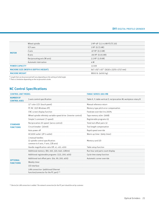|                                       | Wheel spindle               | 2 HP~4P (1.5~4 kW-P) (TC-20)            |  |
|---------------------------------------|-----------------------------|-----------------------------------------|--|
|                                       | X/Y axes                    | 1 HP (0.75 kW)                          |  |
|                                       | Z axis                      | $.67$ HP $(0.5$ kW)                     |  |
| <b>MOTOR</b>                          | B axis                      | $.06$ HP $(0.05$ kW)                    |  |
|                                       | Reciprocating axis (W axis) | $2.5$ HP $(1.8$ kW)                     |  |
|                                       | Automatic lubrication       | 4 W                                     |  |
| <b>POWER CAPACITY</b>                 |                             | 13 kVA                                  |  |
| MACHINE SIZE (WIDTH X DEPTH X HEIGHT) |                             | 64" x 93" x 67" (1630 x 2370 x 1717 mm) |  |
| <b>MACHINE WEIGHT</b>                 |                             | 8800 lb (4000 kg)                       |  |

*\*1 Length that can be processed will vary depending on the setting of relief angle.*

*\*2 There is limitation depending on the reciprocation stroke.*

## NC Control Specifications

| <b>CONTROL UNIT MODEL</b>               |                                                                                              | <b>FANUC SERIES 1801-MB</b>                                       |  |
|-----------------------------------------|----------------------------------------------------------------------------------------------|-------------------------------------------------------------------|--|
| <b>NUMBER OF</b><br><b>CONTROL AXES</b> | 5-axis control specification                                                                 | Table X, Y; table vertical Z; reciprocation W; workpiece rotary B |  |
|                                         | 12" color LCD (touch panel)                                                                  | Manual reference return                                           |  |
|                                         | PC NC (O/S Windows XP)                                                                       | Memory-type pitch error compensation                              |  |
|                                         | CNC screen display function                                                                  | Feedrate override 0 to 200%                                       |  |
|                                         | Wheel spindle infinitely variable-speed drive (inverter control)                             | Tape memory 40m (16kB)                                            |  |
|                                         | Simple S command (7-speed)                                                                   | Registerable programs 63                                          |  |
| <b>STANDARD</b>                         | Reciprocation 20-speed (servo control)                                                       | Total tool offset pairs 32                                        |  |
| <b>FUNCTIONS</b>                        | Circuit breaker (30mA)                                                                       | Tool length compensation                                          |  |
|                                         | Auto power off                                                                               | Rapid speed override                                              |  |
|                                         | AC100V outlet (2P-1 outlet)                                                                  | Warm-up timer (daily timer)                                       |  |
|                                         | 3 manual handles<br>(5-spindle control specification:<br>common to X axis, Y axis, Z/B axis) | Memory card I/O                                                   |  |
|                                         | Handle magnification ratio Off, x1, x10, x100                                                | Table setup function                                              |  |
|                                         | Additional memory (80, 160, 320, 640, 1280m)                                                 | Run hour and parts count display                                  |  |
| <b>OPTIONAL</b><br><b>FUNCTIONS</b>     | Additional registerable programs (125, 200, 400)                                             | Cycle time stamp function                                         |  |
|                                         | Additional tool offset pairs (64, 99, 200, 400)                                              | Automatic corner override                                         |  |
|                                         | Weekly timer                                                                                 |                                                                   |  |
|                                         | I/O interface                                                                                |                                                                   |  |
|                                         | LAN connection (additional Ethernet<br>function/connector for the PC part) $*$ <sup>3</sup>  |                                                                   |  |

*\*3 Device for LAN connection is added. The network connection for the PC part should be set by customer.*